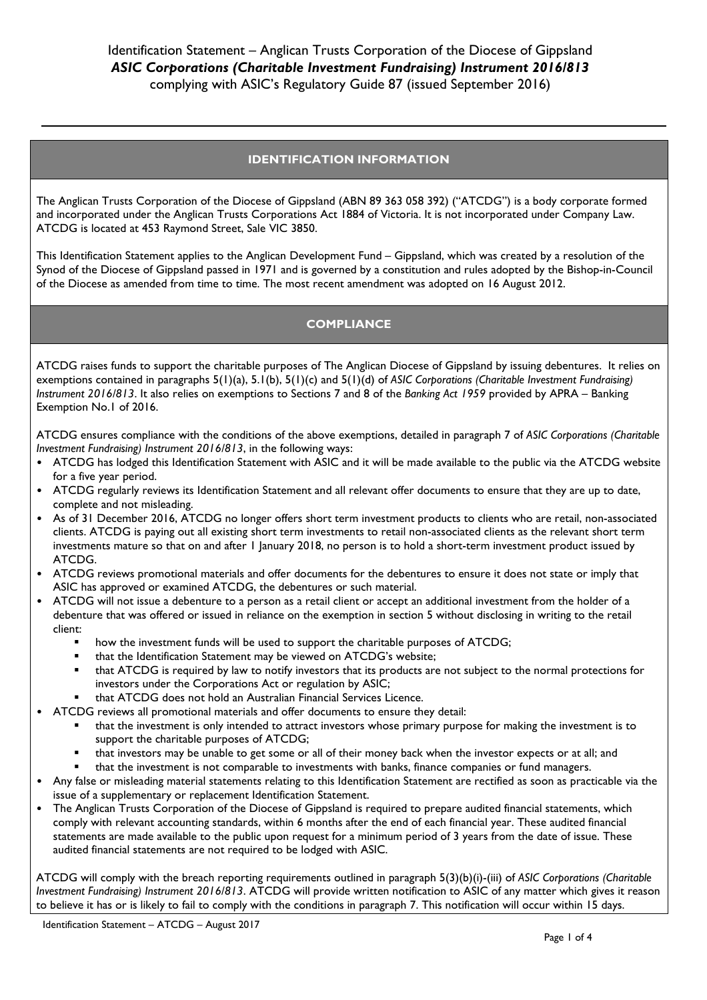# **IDENTIFICATION INFORMATION**

The Anglican Trusts Corporation of the Diocese of Gippsland (ABN 89 363 058 392) ("ATCDG") is a body corporate formed and incorporated under the Anglican Trusts Corporations Act 1884 of Victoria. It is not incorporated under Company Law. ATCDG is located at 453 Raymond Street, Sale VIC 3850.

This Identification Statement applies to the Anglican Development Fund – Gippsland, which was created by a resolution of the Synod of the Diocese of Gippsland passed in 1971 and is governed by a constitution and rules adopted by the Bishop-in-Council of the Diocese as amended from time to time. The most recent amendment was adopted on 16 August 2012.

# **COMPLIANCE**

ATCDG raises funds to support the charitable purposes of The Anglican Diocese of Gippsland by issuing debentures. It relies on exemptions contained in paragraphs 5(1)(a), 5.1(b), 5(1)(c) and 5(1)(d) of *ASIC Corporations (Charitable Investment Fundraising) Instrument 2016/813*. It also relies on exemptions to Sections 7 and 8 of the *Banking Act 1959* provided by APRA – Banking Exemption No.1 of 2016.

ATCDG ensures compliance with the conditions of the above exemptions, detailed in paragraph 7 of *ASIC Corporations (Charitable Investment Fundraising) Instrument 2016/813*, in the following ways:

- ATCDG has lodged this Identification Statement with ASIC and it will be made available to the public via the ATCDG website for a five year period.
- ATCDG regularly reviews its Identification Statement and all relevant offer documents to ensure that they are up to date, complete and not misleading.
- As of 31 December 2016, ATCDG no longer offers short term investment products to clients who are retail, non-associated clients. ATCDG is paying out all existing short term investments to retail non-associated clients as the relevant short term investments mature so that on and after 1 January 2018, no person is to hold a short-term investment product issued by ATCDG.
- ATCDG reviews promotional materials and offer documents for the debentures to ensure it does not state or imply that ASIC has approved or examined ATCDG, the debentures or such material.
- ATCDG will not issue a debenture to a person as a retail client or accept an additional investment from the holder of a debenture that was offered or issued in reliance on the exemption in section 5 without disclosing in writing to the retail client:
	- how the investment funds will be used to support the charitable purposes of ATCDG;
	- that the Identification Statement may be viewed on ATCDG's website;
	- that ATCDG is required by law to notify investors that its products are not subject to the normal protections for investors under the Corporations Act or regulation by ASIC;
	- that ATCDG does not hold an Australian Financial Services Licence.
- ATCDG reviews all promotional materials and offer documents to ensure they detail:
	- that the investment is only intended to attract investors whose primary purpose for making the investment is to support the charitable purposes of ATCDG;
	- that investors may be unable to get some or all of their money back when the investor expects or at all; and
	- that the investment is not comparable to investments with banks, finance companies or fund managers.
- Any false or misleading material statements relating to this Identification Statement are rectified as soon as practicable via the issue of a supplementary or replacement Identification Statement.
- The Anglican Trusts Corporation of the Diocese of Gippsland is required to prepare audited financial statements, which comply with relevant accounting standards, within 6 months after the end of each financial year. These audited financial statements are made available to the public upon request for a minimum period of 3 years from the date of issue. These audited financial statements are not required to be lodged with ASIC.

ATCDG will comply with the breach reporting requirements outlined in paragraph 5(3)(b)(i)-(iii) of *ASIC Corporations (Charitable Investment Fundraising) Instrument 2016/813*. ATCDG will provide written notification to ASIC of any matter which gives it reason to believe it has or is likely to fail to comply with the conditions in paragraph 7. This notification will occur within 15 days.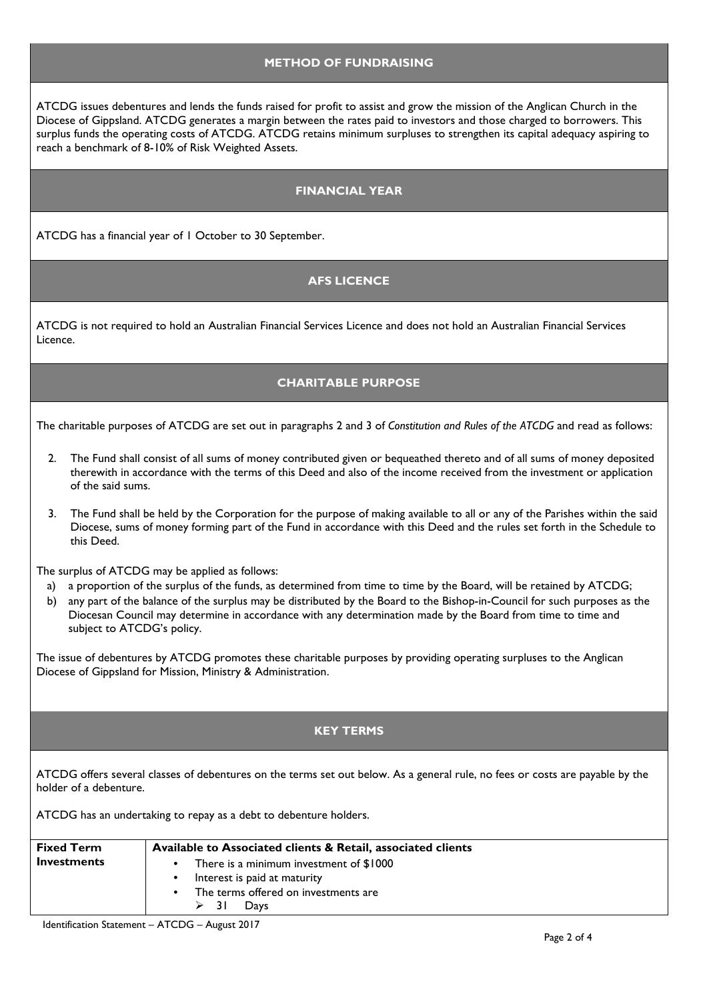#### **METHOD OF FUNDRAISING**

ATCDG issues debentures and lends the funds raised for profit to assist and grow the mission of the Anglican Church in the Diocese of Gippsland. ATCDG generates a margin between the rates paid to investors and those charged to borrowers. This surplus funds the operating costs of ATCDG. ATCDG retains minimum surpluses to strengthen its capital adequacy aspiring to reach a benchmark of 8-10% of Risk Weighted Assets.

### **FINANCIAL YEAR**

ATCDG has a financial year of 1 October to 30 September.

## **AFS LICENCE**

ATCDG is not required to hold an Australian Financial Services Licence and does not hold an Australian Financial Services Licence.

## **CHARITABLE PURPOSE**

The charitable purposes of ATCDG are set out in paragraphs 2 and 3 of *Constitution and Rules of the ATCDG* and read as follows:

- 2. The Fund shall consist of all sums of money contributed given or bequeathed thereto and of all sums of money deposited therewith in accordance with the terms of this Deed and also of the income received from the investment or application of the said sums.
- 3. The Fund shall be held by the Corporation for the purpose of making available to all or any of the Parishes within the said Diocese, sums of money forming part of the Fund in accordance with this Deed and the rules set forth in the Schedule to this Deed.

The surplus of ATCDG may be applied as follows:

- a) a proportion of the surplus of the funds, as determined from time to time by the Board, will be retained by ATCDG;
- b) any part of the balance of the surplus may be distributed by the Board to the Bishop-in-Council for such purposes as the Diocesan Council may determine in accordance with any determination made by the Board from time to time and subject to ATCDG's policy.

The issue of debentures by ATCDG promotes these charitable purposes by providing operating surpluses to the Anglican Diocese of Gippsland for Mission, Ministry & Administration.

## **KEY TERMS**

ATCDG offers several classes of debentures on the terms set out below. As a general rule, no fees or costs are payable by the holder of a debenture.

ATCDG has an undertaking to repay as a debt to debenture holders.

| <b>Fixed Term</b> | Available to Associated clients & Retail, associated clients |
|-------------------|--------------------------------------------------------------|
| Investments       | There is a minimum investment of \$1000                      |
|                   | Interest is paid at maturity                                 |
|                   | The terms offered on investments are                         |
|                   | ≻ 31<br>Days                                                 |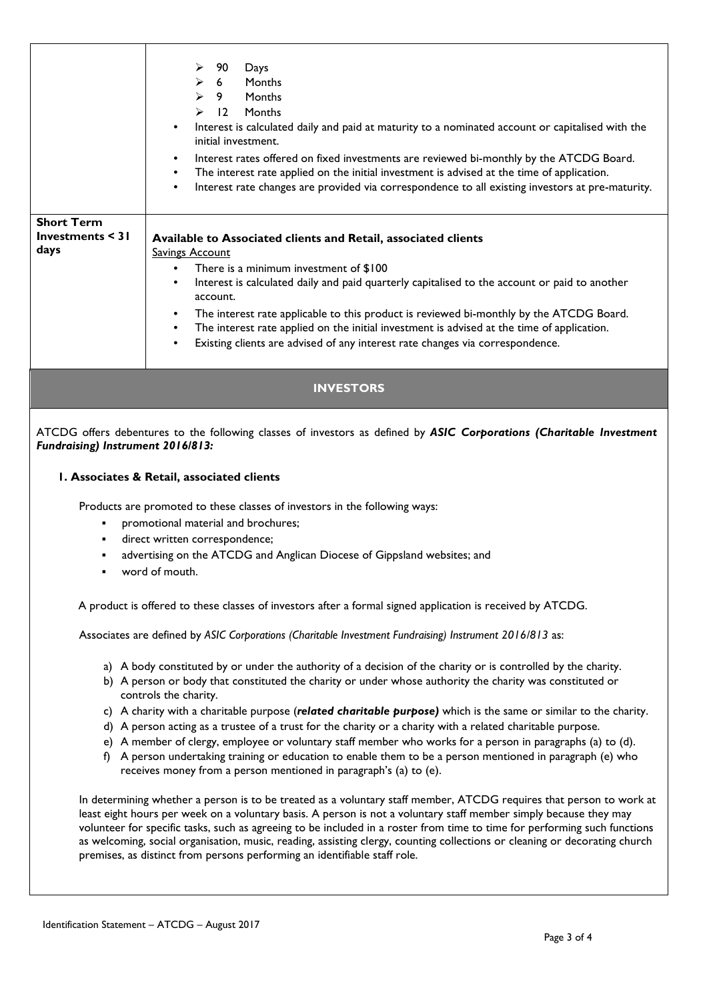|                                                    | 90<br>Days<br>➤<br>6 <sup>6</sup><br>Months<br>➤<br>$\blacktriangleright$<br>9<br>Months<br>$\overline{12}$<br>Months<br>➤<br>Interest is calculated daily and paid at maturity to a nominated account or capitalised with the<br>٠<br>initial investment.<br>Interest rates offered on fixed investments are reviewed bi-monthly by the ATCDG Board.<br>$\bullet$<br>The interest rate applied on the initial investment is advised at the time of application.<br>$\bullet$<br>Interest rate changes are provided via correspondence to all existing investors at pre-maturity.<br>$\bullet$ |
|----------------------------------------------------|------------------------------------------------------------------------------------------------------------------------------------------------------------------------------------------------------------------------------------------------------------------------------------------------------------------------------------------------------------------------------------------------------------------------------------------------------------------------------------------------------------------------------------------------------------------------------------------------|
| <b>Short Term</b><br>Investments $\leq$ 31<br>days | Available to Associated clients and Retail, associated clients<br><b>Savings Account</b><br>There is a minimum investment of \$100<br>$\bullet$<br>Interest is calculated daily and paid quarterly capitalised to the account or paid to another<br>٠<br>account.<br>The interest rate applicable to this product is reviewed bi-monthly by the ATCDG Board.<br>٠<br>The interest rate applied on the initial investment is advised at the time of application.<br>$\bullet$<br>Existing clients are advised of any interest rate changes via correspondence.<br>٠                             |
|                                                    | <b>INVESTORS</b>                                                                                                                                                                                                                                                                                                                                                                                                                                                                                                                                                                               |
| Fundraising) Instrument 2016/813:                  | ATCDG offers debentures to the following classes of investors as defined by ASIC Corporations (Charitable Investment                                                                                                                                                                                                                                                                                                                                                                                                                                                                           |
| ٠<br>٠                                             | I. Associates & Retail, associated clients<br>Products are promoted to these classes of investors in the following ways:<br>promotional material and brochures;<br>direct written correspondence;<br>advertising on the ATCDG and Anglican Diocese of Gippsland websites; and<br>word of mouth.                                                                                                                                                                                                                                                                                                |
|                                                    | A product is offered to these classes of investors after a formal signed application is received by ATCDG.<br>Associates are defined by ASIC Corporations (Charitable Investment Fundraising) Instrument 2016/813 as:                                                                                                                                                                                                                                                                                                                                                                          |